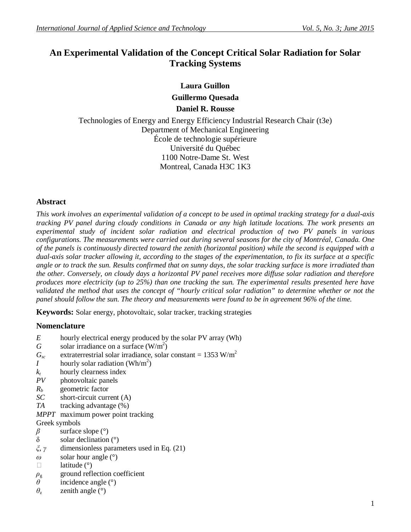# **An Experimental Validation of the Concept Critical Solar Radiation for Solar Tracking Systems**

**Laura Guillon Guillermo Quesada Daniel R. Rousse**

Technologies of Energy and Energy Efficiency Industrial Research Chair (t3e) Department of Mechanical Engineering École de technologie supérieure Université du Québec 1100 Notre-Dame St. West Montreal, Canada H3C 1K3

# **Abstract**

*This work involves an experimental validation of a concept to be used in optimal tracking strategy for a dual-axis tracking PV panel during cloudy conditions in Canada or any high latitude locations. The work presents an experimental study of incident solar radiation and electrical production of two PV panels in various configurations. The measurements were carried out during several seasons for the city of Montréal, Canada. One of the panels is continuously directed toward the zenith (horizontal position) while the second is equipped with a dual-axis solar tracker allowing it, according to the stages of the experimentation, to fix its surface at a specific angle or to track the sun. Results confirmed that on sunny days, the solar tracking surface is more irradiated than the other. Conversely, on cloudy days a horizontal PV panel receives more diffuse solar radiation and therefore produces more electricity (up to 25%) than one tracking the sun. The experimental results presented here have validated the method that uses the concept of "hourly critical solar radiation" to determine whether or not the panel should follow the sun. The theory and measurements were found to be in agreement 96% of the time.*

**Keywords:** Solar energy, photovoltaic, solar tracker, tracking strategies

# **Nomenclature**

- *E* hourly electrical energy produced by the solar PV array (Wh)
- *G* solar irradiance on a surface  $(W/m^2)$
- $G_{sc}$  extraterrestrial solar irradiance, solar constant = 1353 W/m<sup>2</sup>
- *I* hourly solar radiation (Wh/m<sup>2</sup>)
- $k_t$  hourly clearness index<br>*PV* photovoltaic panels
- photovoltaic panels
- *R<sup>b</sup>* geometric factor
- *SC* short-circuit current (A)
- *TA* tracking advantage (%)
- *MPPT* maximum power point tracking
- Greek symbols
- *β* surface slope (°)
- δ solar declination  $(°)$
- *ξ*, *γ* dimensionless parameters used in Eq. (21)
- *ω* solar hour angle (°)
- $\Box$  latitude ( $\degree$ )
- *ρ*<sup>g</sup> ground reflection coefficient
- *θ* incidence angle (°)
- $\theta$ <sub>z</sub> zenith angle (°)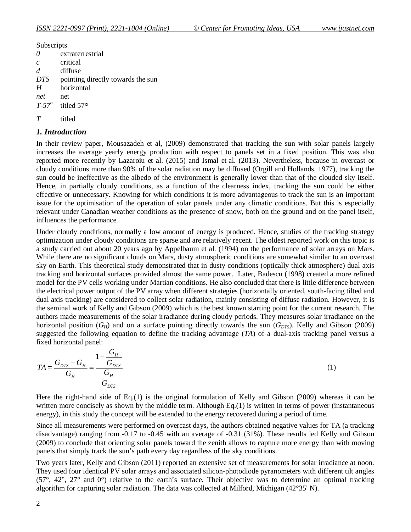Subscripts

| $\theta$      | extraterrestrial                  |
|---------------|-----------------------------------|
| $\mathcal{C}$ | critical                          |
| d             | diffuse                           |
| <i>DTS</i>    | pointing directly towards the sun |
| H             | horizontal                        |
| net           | net                               |
| $T-57^\circ$  | titled 57 <sup>o</sup>            |
|               |                                   |

*T* titled

### *1. Introduction*

In their review paper, Mousazadeh et al, (2009) demonstrated that tracking the sun with solar panels largely increases the average yearly energy production with respect to panels set in a fixed position. This was also reported more recently by Lazaroiu et al. (2015) and Ismal et al. (2013). Nevertheless, because in overcast or cloudy conditions more than 90% of the solar radiation may be diffused (Orgill and Hollands, 1977), tracking the sun could be ineffective as the albedo of the environment is generally lower than that of the clouded sky itself. Hence, in partially cloudy conditions, as a function of the clearness index, tracking the sun could be either effective or unnecessary. Knowing for which conditions it is more advantageous to track the sun is an important issue for the optimisation of the operation of solar panels under any climatic conditions. But this is especially relevant under Canadian weather conditions as the presence of snow, both on the ground and on the panel itself, influences the performance.

Under cloudy conditions, normally a low amount of energy is produced. Hence, studies of the tracking strategy optimization under cloudy conditions are sparse and are relatively recent. The oldest reported work on this topic is a study carried out about 20 years ago by Appelbaum et al. (1994) on the performance of solar arrays on Mars. While there are no significant clouds on Mars, dusty atmospheric conditions are somewhat similar to an overcast sky on Earth. This theoretical study demonstrated that in dusty conditions (optically thick atmosphere) dual axis tracking and horizontal surfaces provided almost the same power. Later, Badescu (1998) created a more refined model for the PV cells working under Martian conditions. He also concluded that there is little difference between the electrical power output of the PV array when different strategies (horizontally oriented, south-facing tilted and dual axis tracking) are considered to collect solar radiation, mainly consisting of diffuse radiation. However, it is the seminal work of Kelly and Gibson (2009) which is the best known starting point for the current research. The authors made measurements of the solar irradiance during cloudy periods. They measures solar irradiance on the horizontal position  $(G_H)$  and on a surface pointing directly towards the sun  $(G_{DTS})$ . Kelly and Gibson (2009) suggested the following equation to define the tracking advantage (*TA*) of a dual-axis tracking panel versus a fixed horizontal panel:

$$
TA = \frac{G_{DTS} - G_H}{G_H} = \frac{1 - \frac{G_H}{G_{DTS}}}{\frac{G_H}{G_{DTS}}}
$$
\n
$$
\tag{1}
$$

Here the right-hand side of Eq.(1) is the original formulation of Kelly and Gibson (2009) whereas it can be written more concisely as shown by the middle term. Although Eq.(1) is written in terms of power (instantaneous energy), in this study the concept will be extended to the energy recovered during a period of time.

Since all measurements were performed on overcast days, the authors obtained negative values for TA (a tracking disadvantage) ranging from -0.17 to -0.45 with an average of -0.31 (31%). These results led Kelly and Gibson (2009) to conclude that orienting solar panels toward the zenith allows to capture more energy than with moving panels that simply track the sun's path every day regardless of the sky conditions.

Two years later, Kelly and Gibson (2011) reported an extensive set of measurements for solar irradiance at noon. They used four identical PV solar arrays and associated silicon-photodiode pyranometers with different tilt angles (57°, 42°, 27° and 0°) relative to the earth's surface. Their objective was to determine an optimal tracking algorithm for capturing solar radiation. The data was collected at Milford, Michigan ( $42^{\circ}35'$  N).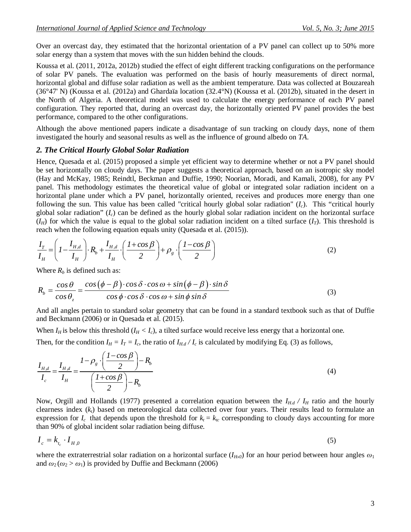Over an overcast day, they estimated that the horizontal orientation of a PV panel can collect up to 50% more solar energy than a system that moves with the sun hidden behind the clouds.

Koussa et al. (2011, 2012a, 2012b) studied the effect of eight different tracking configurations on the performance of solar PV panels. The evaluation was performed on the basis of hourly measurements of direct normal, horizontal global and diffuse solar radiation as well as the ambient temperature. Data was collected at Bouzareah (36°47' N) (Koussa et al. (2012a) and Ghardaïa location (32.4°N) (Koussa et al. (2012b), situated in the desert in the North of Algeria. A theoretical model was used to calculate the energy performance of each PV panel configuration. They reported that, during an overcast day, the horizontally oriented PV panel provides the best performance, compared to the other configurations.

Although the above mentioned papers indicate a disadvantage of sun tracking on cloudy days, none of them investigated the hourly and seasonal results as well as the influence of ground albedo on *TA*.

#### *2. The Critical Hourly Global Solar Radiation*

Hence, Quesada et al. (2015) proposed a simple yet efficient way to determine whether or not a PV panel should be set horizontally on cloudy days. The paper suggests a theoretical approach, based on an isotropic sky model (Hay and McKay, 1985; Reindtl, Beckman and Duffie, 1990; Noorian, Moradi, and Kamali, 2008), for any PV panel. This methodology estimates the theoretical value of global or integrated solar radiation incident on a horizontal plane under which a PV panel, horizontally oriented, receives and produces more energy than one following the sun. This value has been called "critical hourly global solar radiation" (*Ic*). This "critical hourly global solar radiation" (*Ic*) can be defined as the hourly global solar radiation incident on the horizontal surface  $(I_H)$  for which the value is equal to the global solar radiation incident on a tilted surface  $(I_T)$ . This threshold is reach when the following equation equals unity (Quesada et al. (2015)).

$$
\frac{I_T}{I_H} = \left(1 - \frac{I_{H,d}}{I_H}\right) \cdot R_b + \frac{I_{H,d}}{I_H} \cdot \left(\frac{1 + \cos\beta}{2}\right) + \rho_g \cdot \left(\frac{1 - \cos\beta}{2}\right) \tag{2}
$$

Where  $R_b$  is defined such as:

$$
R_b = \frac{\cos\theta}{\cos\theta_z} = \frac{\cos(\phi - \beta)\cdot\cos\delta\cdot\cos\omega + \sin(\phi - \beta)\cdot\sin\delta}{\cos\phi\cdot\cos\delta\cdot\cos\omega + \sin\phi\sin\delta}
$$
(3)

And all angles pertain to standard solar geometry that can be found in a standard textbook such as that of Duffie and Beckmann (2006) or in Quesada et al. (2015).

When  $I_H$  is below this threshold  $(I_H < I_c)$ , a tilted surface would receive less energy that a horizontal one. Then, for the condition  $I_H = I_T = I_c$ , the ratio of  $I_{H,d}/I_c$  is calculated by modifying Eq. (3) as follows,

$$
\frac{I_{H,d}}{I_c} = \frac{I_{H,d}}{I_H} = \frac{I - \rho_g \cdot \left(\frac{I - \cos\beta}{2}\right) - R_b}{\left(\frac{I + \cos\beta}{2}\right) - R_b} \tag{4}
$$

Now, Orgill and Hollands (1977) presented a correlation equation between the  $I_{H,d}$  /  $I_H$  ratio and the hourly clearness index (*kt*) based on meteorological data collected over four years. Their results lead to formulate an expression for  $I_c$  that depends upon the threshold for  $k_t = k_{tc}$  corresponding to cloudy days accounting for more than 90% of global incident solar radiation being diffuse.

$$
I_c = k_{t_c} \cdot I_{H,0} \tag{5}
$$

where the extraterrestrial solar radiation on a horizontal surface  $(I_{H_0}$  for an hour period between hour angles  $\omega_1$ and  $\omega_2(\omega_2 > \omega_1)$  is provided by Duffie and Beckmann (2006)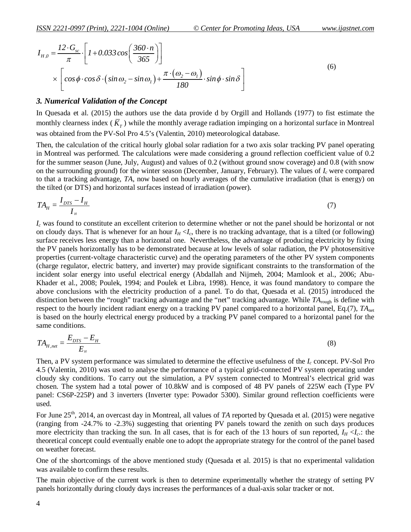$$
I_{H,0} = \frac{12 \cdot G_{sc}}{\pi} \cdot \left[ 1 + 0.033 \cos \left( \frac{360 \cdot n}{365} \right) \right]
$$
  
 
$$
\times \left[ \cos \phi \cdot \cos \delta \cdot (\sin \omega_2 - \sin \omega_1) + \frac{\pi \cdot (\omega_2 - \omega_1)}{180} \cdot \sin \phi \cdot \sin \delta \right]
$$
(6)

#### *3. Numerical Validation of the Concept*

In Quesada et al. (2015) the authors use the data provide d by Orgill and Hollands (1977) to fist estimate the monthly clearness index ( $K<sub>T</sub>$ ) while the monthly average radiation impinging on a horizontal surface in Montreal was obtained from the PV-Sol Pro 4.5's (Valentin, 2010) meteorological database.

Then, the calculation of the critical hourly global solar radiation for a two axis solar tracking PV panel operating in Montreal was performed. The calculations were made considering a ground reflection coefficient value of 0.2 for the summer season (June, July, August) and values of 0.2 (without ground snow coverage) and 0.8 (with snow on the surrounding ground) for the winter season (December, January, February). The values of *I<sup>c</sup>* were compared to that a tracking advantage, *TA*, now based on hourly averages of the cumulative irradiation (that is energy) on the tilted (or DTS) and horizontal surfaces instead of irradiation (power).

$$
TA_H = \frac{I_{DTS} - I_H}{I_H} \tag{7}
$$

*I<sup>c</sup>* was found to constitute an excellent criterion to determine whether or not the panel should be horizontal or not on cloudy days. That is whenever for an hour  $I_H < I_c$ , there is no tracking advantage, that is a tilted (or following) surface receives less energy than a horizontal one. Nevertheless, the advantage of producing electricity by fixing the PV panels horizontally has to be demonstrated because at low levels of solar radiation, the PV photosensitive properties (current-voltage characteristic curve) and the operating parameters of the other PV system components (charge regulator, electric battery, and inverter) may provide significant constraints to the transformation of the incident solar energy into useful electrical energy (Abdallah and Nijmeh, 2004; Mamlook et al., 2006; Abu-Khader et al., 2008; Poulek, 1994; and Poulek et Libra, 1998). Hence, it was found mandatory to compare the above conclusions with the electricity production of a panel. To do that, Quesada et al. (2015) introduced the distinction between the "rough" tracking advantage and the "net" tracking advantage. While *TA*rough is define with respect to the hourly incident radiant energy on a tracking PV panel compared to a horizontal panel, Eq.(7), *TA*net is based on the hourly electrical energy produced by a tracking PV panel compared to a horizontal panel for the same conditions.

$$
TA_{H,net} = \frac{E_{DTS} - E_H}{E_H} \tag{8}
$$

Then, a PV system performance was simulated to determine the effective usefulness of the *I<sup>c</sup>* concept. PV-Sol Pro 4.5 (Valentin, 2010) was used to analyse the performance of a typical grid-connected PV system operating under cloudy sky conditions. To carry out the simulation, a PV system connected to Montreal's electrical grid was chosen. The system had a total power of 10.8kW and is composed of 48 PV panels of 225W each (Type PV panel: CS6P-225P) and 3 inverters (Inverter type: Powador 5300). Similar ground reflection coefficients were used.

For June 25<sup>th</sup>, 2014, an overcast day in Montreal, all values of *TA* reported by Quesada et al. (2015) were negative (ranging from -24.7% to -2.3%) suggesting that orienting PV panels toward the zenith on such days produces more electricity than tracking the sun. In all cases, that is for each of the 13 hours of sun reported,  $I_H < I_c$ .: the theoretical concept could eventually enable one to adopt the appropriate strategy for the control of the panel based on weather forecast.

One of the shortcomings of the above mentioned study (Quesada et al. 2015) is that no experimental validation was available to confirm these results.

The main objective of the current work is then to determine experimentally whether the strategy of setting PV panels horizontally during cloudy days increases the performances of a dual-axis solar tracker or not.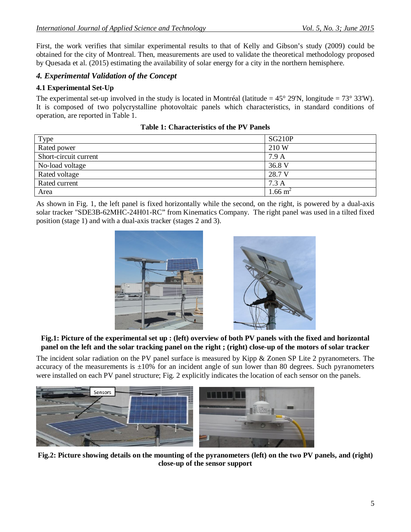First, the work verifies that similar experimental results to that of Kelly and Gibson's study (2009) could be obtained for the city of Montreal. Then, measurements are used to validate the theoretical methodology proposed by Quesada et al. (2015) estimating the availability of solar energy for a city in the northern hemisphere.

# *4. Experimental Validation of the Concept*

### **4.1 Experimental Set-Up**

The experimental set-up involved in the study is located in Montréal (latitude  $= 45^{\circ}$  29'N, longitude  $= 73^{\circ}$  33'W). It is composed of two polycrystalline photovoltaic panels which characteristics, in standard conditions of operation, are reported in Table 1.

| Type                  | <b>SG210P</b>      |
|-----------------------|--------------------|
| Rated power           | 210 W              |
| Short-circuit current | 7.9A               |
| No-load voltage       | 36.8 V             |
| Rated voltage         | 28.7 V             |
| Rated current         | 7.3A               |
| Area                  | $1.66 \text{ m}^2$ |

**Table 1: Characteristics of the PV Panels**

As shown in Fig. 1, the left panel is fixed horizontally while the second, on the right, is powered by a dual-axis solar tracker "SDE3B-62MHC-24H01-RC" from Kinematics Company. The right panel was used in a tilted fixed position (stage 1) and with a dual-axis tracker (stages 2 and 3).





**Fig.1: Picture of the experimental set up : (left) overview of both PV panels with the fixed and horizontal panel on the left and the solar tracking panel on the right ; (right) close-up of the motors of solar tracker**

The incident solar radiation on the PV panel surface is measured by Kipp & Zonen SP Lite 2 pyranometers. The accuracy of the measurements is  $\pm 10\%$  for an incident angle of sun lower than 80 degrees. Such pyranometers were installed on each PV panel structure; Fig. 2 explicitly indicates the location of each sensor on the panels.



**Fig.2: Picture showing details on the mounting of the pyranometers (left) on the two PV panels, and (right) close-up of the sensor support**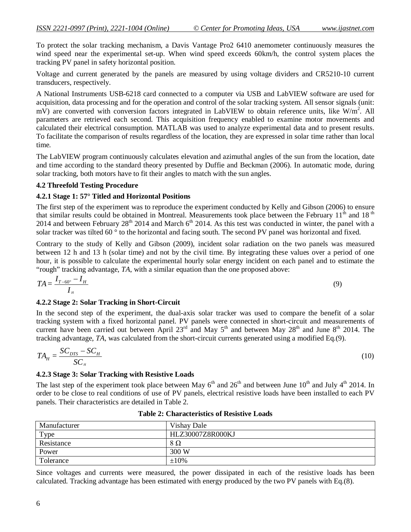To protect the solar tracking mechanism, a Davis Vantage Pro2 6410 anemometer continuously measures the wind speed near the experimental set-up. When wind speed exceeds 60km/h, the control system places the tracking PV panel in safety horizontal position.

Voltage and current generated by the panels are measured by using voltage dividers and CR5210-10 current transducers, respectively.

A National Instruments USB-6218 card connected to a computer via USB and LabVIEW software are used for acquisition, data processing and for the operation and control of the solar tracking system. All sensor signals (unit:  $\overline{mV}$ ) are converted with conversion factors integrated in LabVIEW to obtain reference units, like  $\overline{W/m}^2$ . All parameters are retrieved each second. This acquisition frequency enabled to examine motor movements and calculated their electrical consumption. MATLAB was used to analyze experimental data and to present results. To facilitate the comparison of results regardless of the location, they are expressed in solar time rather than local time.

The LabVIEW program continuously calculates elevation and azimuthal angles of the sun from the location, date and time according to the standard theory presented by Duffie and Beckman (2006). In automatic mode, during solar tracking, both motors have to fit their angles to match with the sun angles.

#### **4.2 Threefold Testing Procedure**

#### **4.2.1 Stage 1: 57° Titled and Horizontal Positions**

The first step of the experiment was to reproduce the experiment conducted by Kelly and Gibson (2006) to ensure that similar results could be obtained in Montreal. Measurements took place between the February 11<sup>th</sup> and 18<sup>th</sup> 2014 and between February  $28<sup>th</sup>$  2014 and March 6<sup>th</sup> 2014. As this test was conducted in winter, the panel with a solar tracker was tilted 60 ° to the horizontal and facing south. The second PV panel was horizontal and fixed.

Contrary to the study of Kelly and Gibson (2009), incident solar radiation on the two panels was measured between 12 h and 13 h (solar time) and not by the civil time. By integrating these values over a period of one hour, it is possible to calculate the experimental hourly solar energy incident on each panel and to estimate the "rough" tracking advantage, *TA*, with a similar equation than the one proposed above:

$$
TA = \frac{I_{T-60^\circ} - I_H}{I_H} \tag{9}
$$

#### **4.2.2 Stage 2: Solar Tracking in Short-Circuit**

In the second step of the experiment, the dual-axis solar tracker was used to compare the benefit of a solar tracking system with a fixed horizontal panel. PV panels were connected in short-circuit and measurements of current have been carried out between April  $23^{rd}$  and May  $5^{th}$  and between May  $28^{th}$  and June  $8^{th}$  2014. The tracking advantage, *TA*, was calculated from the short-circuit currents generated using a modified Eq.(9).

$$
TA_{H} = \frac{SC_{DTS} - SC_{H}}{SC_{H}}
$$
\n(10)

#### **4.2.3 Stage 3: Solar Tracking with Resistive Loads**

The last step of the experiment took place between May  $6<sup>th</sup>$  and  $26<sup>th</sup>$  and between June  $10<sup>th</sup>$  and July  $4<sup>th</sup>$  2014. In order to be close to real conditions of use of PV panels, electrical resistive loads have been installed to each PV panels. Their characteristics are detailed in Table 2.

| Manufacturer | Vishay Dale      |
|--------------|------------------|
| Type         | HLZ30007Z8R000KJ |
| Resistance   | 8Ω               |
| Power        | 300 W            |
| Tolerance    | $\pm 10\%$       |

| <b>Table 2: Characteristics of Resistive Loads</b> |
|----------------------------------------------------|
|----------------------------------------------------|

Since voltages and currents were measured, the power dissipated in each of the resistive loads has been calculated. Tracking advantage has been estimated with energy produced by the two PV panels with Eq.(8).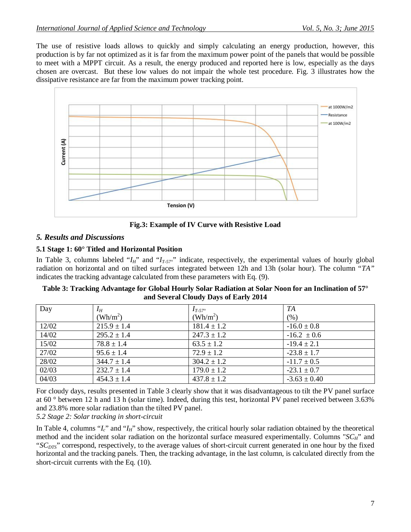The use of resistive loads allows to quickly and simply calculating an energy production, however, this production is by far not optimized as it is far from the maximum power point of the panels that would be possible to meet with a MPPT circuit. As a result, the energy produced and reported here is low, especially as the days chosen are overcast. But these low values do not impair the whole test procedure. Fig. 3 illustrates how the dissipative resistance are far from the maximum power tracking point.



**Fig.3: Example of IV Curve with Resistive Load**

# *5. Results and Discussions*

# **5.1 Stage 1: 60° Titled and Horizontal Position**

In Table 3, columns labeled " $I_H$ " and " $I_{T-57}$ " indicate, respectively, the experimental values of hourly global radiation on horizontal and on tilted surfaces integrated between 12h and 13h (solar hour). The column "*TA"* indicates the tracking advantage calculated from these parameters with Eq. (9).

| Table 3: Tracking Advantage for Global Hourly Solar Radiation at Solar Noon for an Inclination of 57 $^{\circ}$ |
|-----------------------------------------------------------------------------------------------------------------|
| and Several Cloudy Days of Early 2014                                                                           |

| Day   | $I_H$           | $I_{T\text{-}57^\circ}$ | TA               |
|-------|-----------------|-------------------------|------------------|
|       | $(Wh/m^2)$      | $(Wh/m^2)$              | (% )             |
| 12/02 | $215.9 \pm 1.4$ | $181.4 \pm 1.2$         | $-16.0 \pm 0.8$  |
| 14/02 | $295.2 \pm 1.4$ | $247.3 \pm 1.2$         | $-16.2 \pm 0.6$  |
| 15/02 | $78.8 \pm 1.4$  | $63.5 \pm 1.2$          | $-19.4 \pm 2.1$  |
| 27/02 | $95.6 \pm 1.4$  | $72.9 \pm 1.2$          | $-23.8 \pm 1.7$  |
| 28/02 | $344.7 \pm 1.4$ | $304.2 \pm 1.2$         | $-11.7 \pm 0.5$  |
| 02/03 | $232.7 \pm 1.4$ | $179.0 \pm 1.2$         | $-23.1 \pm 0.7$  |
| 04/03 | $454.3 \pm 1.4$ | $437.8 \pm 1.2$         | $-3.63 \pm 0.40$ |

For cloudy days, results presented in Table 3 clearly show that it was disadvantageous to tilt the PV panel surface at 60 ° between 12 h and 13 h (solar time). Indeed, during this test, horizontal PV panel received between 3.63% and 23.8% more solar radiation than the tilted PV panel.

*5.2 Stage 2: Solar tracking in short-circuit*

In Table 4, columns "*I<sub>c</sub>*" and "*I<sub>H</sub>*" show, respectively, the critical hourly solar radiation obtained by the theoretical method and the incident solar radiation on the horizontal surface measured experimentally. Columns "*SCH*" and "*SC<sub>DTS</sub>*" correspond, respectively, to the average values of short-circuit current generated in one hour by the fixed horizontal and the tracking panels. Then, the tracking advantage, in the last column, is calculated directly from the short-circuit currents with the Eq. (10).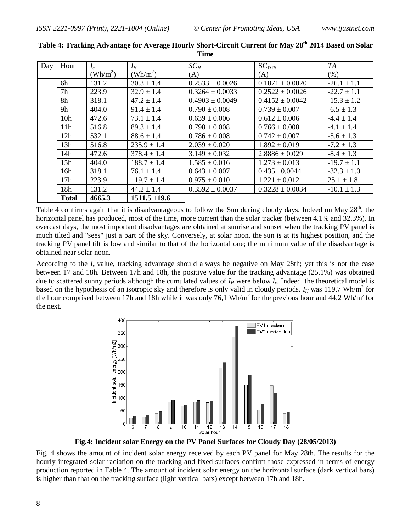| Day | Hour            | $I_c$             | $I_H$             | $SC_H$              | $SC_{DTS}$          | TA              |
|-----|-----------------|-------------------|-------------------|---------------------|---------------------|-----------------|
|     |                 | $(\text{Wh/m}^2)$ | $(Wh/m^2)$        | (A)                 | (A)                 | (% )            |
|     | 6h              | 131.2             | $30.3 \pm 1.4$    | $0.2533 \pm 0.0026$ | $0.1871 \pm 0.0020$ | $-26.1 \pm 1.1$ |
|     | 7h              | 223.9             | $32.9 \pm 1.4$    | $0.3264 \pm 0.0033$ | $0.2522 \pm 0.0026$ | $-22.7 \pm 1.1$ |
|     | 8h              | 318.1             | $47.2 \pm 1.4$    | $0.4903 \pm 0.0049$ | $0.4152 \pm 0.0042$ | $-15.3 \pm 1.2$ |
|     | 9h              | 404.0             | $91.4 \pm 1.4$    | $0.790 \pm 0.008$   | $0.739 \pm 0.007$   | $-6.5 \pm 1.3$  |
|     | 10 <sub>h</sub> | 472.6             | $73.1 \pm 1.4$    | $0.639 \pm 0.006$   | $0.612 \pm 0.006$   | $-4.4 \pm 1.4$  |
|     | 11h             | 516.8             | $89.3 \pm 1.4$    | $0.798 \pm 0.008$   | $0.766 \pm 0.008$   | $-4.1 \pm 1.4$  |
|     | 12h             | 532.1             | $88.6 \pm 1.4$    | $0.786 \pm 0.008$   | $0.742 \pm 0.007$   | $-5.6 \pm 1.3$  |
|     | 13h             | 516.8             | $235.9 \pm 1.4$   | $2.039 \pm 0.020$   | $1.892 \pm 0.019$   | $-7.2 \pm 1.3$  |
|     | 14h             | 472.6             | $378.4 \pm 1.4$   | $3.149 \pm 0.032$   | $2.8886 \pm 0.029$  | $-8.4 \pm 1.3$  |
|     | 15h             | 404.0             | $188.7 \pm 1.4$   | $1.585 \pm 0.016$   | $1.273 \pm 0.013$   | $-19.7 \pm 1.1$ |
|     | 16h             | 318.1             | $76.1 \pm 1.4$    | $0.643 \pm 0.007$   | $0.435 \pm 0.0044$  | $-32.3 \pm 1.0$ |
|     | 17 <sub>h</sub> | 223.9             | $119.7 \pm 1.4$   | $0.975 \pm 0.010$   | $1.221 \pm 0.012$   | $25.1 \pm 1.8$  |
|     | 18h             | 131.2             | $44.2 \pm 1.4$    | $0.3592 \pm 0.0037$ | $0.3228 \pm 0.0034$ | $-10.1 \pm 1.3$ |
|     | <b>Total</b>    | 4665.3            | $1511.5 \pm 19.6$ |                     |                     |                 |

**Table 4: Tracking Advantage for Average Hourly Short-Circuit Current for May 28th 2014 Based on Solar Time**

Table 4 confirms again that it is disadvantageous to follow the Sun during cloudy days. Indeed on May  $28<sup>th</sup>$ , the horizontal panel has produced, most of the time, more current than the solar tracker (between 4.1% and 32.3%). In overcast days, the most important disadvantages are obtained at sunrise and sunset when the tracking PV panel is much tilted and "sees" just a part of the sky. Conversely, at solar noon, the sun is at its highest position, and the tracking PV panel tilt is low and similar to that of the horizontal one; the minimum value of the disadvantage is obtained near solar noon.

According to the *I<sup>c</sup>* value, tracking advantage should always be negative on May 28th; yet this is not the case between 17 and 18h. Between 17h and 18h, the positive value for the tracking advantage (25.1%) was obtained due to scattered sunny periods although the cumulated values of  $I_H$  were below  $I_c$ . Indeed, the theoretical model is based on the hypothesis of an isotropic sky and therefore is only valid in cloudy periods.  $I_H$  was 119,7 Wh/m<sup>2</sup> for the hour comprised between 17h and 18h while it was only 76,1 Wh/m<sup>2</sup> for the previous hour and 44,2 Wh/m<sup>2</sup> for the next.



**Fig.4: Incident solar Energy on the PV Panel Surfaces for Cloudy Day (28/05/2013)**

Fig. 4 shows the amount of incident solar energy received by each PV panel for May 28th. The results for the hourly integrated solar radiation on the tracking and fixed surfaces confirm those expressed in terms of energy production reported in Table 4. The amount of incident solar energy on the horizontal surface (dark vertical bars) is higher than that on the tracking surface (light vertical bars) except between 17h and 18h.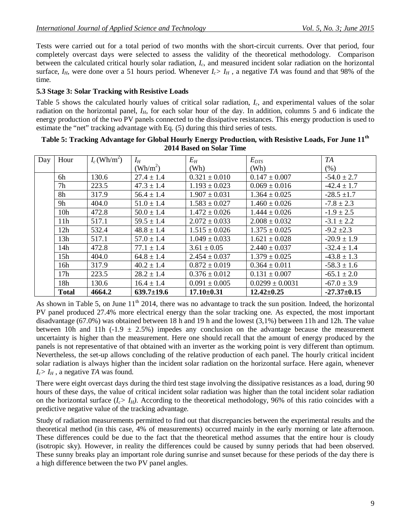Tests were carried out for a total period of two months with the short-circuit currents. Over that period, four completely overcast days were selected to assess the validity of the theoretical methodology. Comparison between the calculated critical hourly solar radiation, *Ic*, and measured incident solar radiation on the horizontal surface,  $I_H$ , were done over a 51 hours period. Whenever  $I_c > I_H$ , a negative *TA* was found and that 98% of the time.

### **5.3 Stage 3: Solar Tracking with Resistive Loads**

Table 5 shows the calculated hourly values of critical solar radiation, *Ic*, and experimental values of the solar radiation on the horizontal panel, *I<sub>H</sub>*, for each solar hour of the day. In addition, columns 5 and 6 indicate the energy production of the two PV panels connected to the dissipative resistances. This energy production is used to estimate the "net" tracking advantage with Eq. (5) during this third series of tests.

| Day | Hour            | $I_c$ (Wh/m <sup>2</sup> ) | $I_H$            | $E_H$             | $E_{DTS}$           | TA              |
|-----|-----------------|----------------------------|------------------|-------------------|---------------------|-----------------|
|     |                 |                            | $(Wh/m^2)$       | (Wh)              | (Wh)                | (% )            |
|     | 6h              | 130.6                      | $27.4 \pm 1.4$   | $0.321 \pm 0.010$ | $0.147 \pm 0.007$   | $-54.0 \pm 2.7$ |
|     | 7h              | 223.5                      | $47.3 \pm 1.4$   | $1.193 \pm 0.023$ | $0.069 \pm 0.016$   | $-42.4 \pm 1.7$ |
|     | 8h              | 317.9                      | $56.4 \pm 1.4$   | $1.907 \pm 0.031$ | $1.364 \pm 0.025$   | $-28.5 \pm 1.7$ |
|     | 9h              | 404.0                      | $51.0 \pm 1.4$   | $1.583 \pm 0.027$ | $1.460 \pm 0.026$   | $-7.8 \pm 2.3$  |
|     | 10 <sub>h</sub> | 472.8                      | $50.0 \pm 1.4$   | $1.472 \pm 0.026$ | $1.444 \pm 0.026$   | $-1.9 \pm 2.5$  |
|     | 11h             | 517.1                      | $59.5 \pm 1.4$   | $2.072 \pm 0.033$ | $2.008 \pm 0.032$   | $-3.1 \pm 2.2$  |
|     | 12h             | 532.4                      | $48.8 \pm 1.4$   | $1.515 \pm 0.026$ | $1.375 \pm 0.025$   | $-9.2 \pm 2.3$  |
|     | 13h             | 517.1                      | $57.0 \pm 1.4$   | $1.049 \pm 0.033$ | $1.621 \pm 0.028$   | $-20.9 \pm 1.9$ |
|     | 14h             | 472.8                      | $77.1 \pm 1.4$   | $3.61 \pm 0.05$   | $2.440 \pm 0.037$   | $-32.4 \pm 1.4$ |
|     | 15h             | 404.0                      | $64.8 \pm 1.4$   | $2.454 \pm 0.037$ | $1.379 \pm 0.025$   | $-43.8 \pm 1.3$ |
|     | 16h             | 317.9                      | $40.2 \pm 1.4$   | $0.872 \pm 0.019$ | $0.364 \pm 0.011$   | $-58.3 \pm 1.6$ |
|     | 17h             | 223.5                      | $28.2 \pm 1.4$   | $0.376 \pm 0.012$ | $0.131 \pm 0.007$   | $-65.1 \pm 2.0$ |
|     | 18h             | 130.6                      | $16.4 \pm 1.4$   | $0.091 \pm 0.005$ | $0.0299 \pm 0.0031$ | $-67.0 \pm 3.9$ |
|     | <b>Total</b>    | 4664.2                     | $639.7 \pm 19.6$ | $17.10\pm0.31$    | $12.42 \pm 0.25$    | $-27.37+0.15$   |

**Table 5: Tracking Advantage for Global Hourly Energy Production, with Resistive Loads, For June 11th 2014 Based on Solar Time**

As shown in Table 5, on June  $11<sup>th</sup>$  2014, there was no advantage to track the sun position. Indeed, the horizontal PV panel produced 27.4% more electrical energy than the solar tracking one. As expected, the most important disadvantage (67.0%) was obtained between 18 h and 19 h and the lowest (3,1%) between 11h and 12h. The value between 10h and 11h (-1.9  $\pm$  2.5%) impedes any conclusion on the advantage because the measurement uncertainty is higher than the measurement. Here one should recall that the amount of energy produced by the panels is not representative of that obtained with an inverter as the working point is very different than optimum. Nevertheless, the set-up allows concluding of the relative production of each panel. The hourly critical incident solar radiation is always higher than the incident solar radiation on the horizontal surface. Here again, whenever  $I_c$ *> I<sub>H</sub>* , a negative *TA* was found.

There were eight overcast days during the third test stage involving the dissipative resistances as a load, during 90 hours of these days, the value of critical incident solar radiation was higher than the total incident solar radiation on the horizontal surface  $(I_c > I_H)$ . According to the theoretical methodology, 96% of this ratio coincides with a predictive negative value of the tracking advantage.

Study of radiation measurements permitted to find out that discrepancies between the experimental results and the theoretical method (in this case, 4% of measurements) occurred mainly in the early morning or late afternoon. These differences could be due to the fact that the theoretical method assumes that the entire hour is cloudy (isotropic sky). However, in reality the differences could be caused by sunny periods that had been observed. These sunny breaks play an important role during sunrise and sunset because for these periods of the day there is a high difference between the two PV panel angles.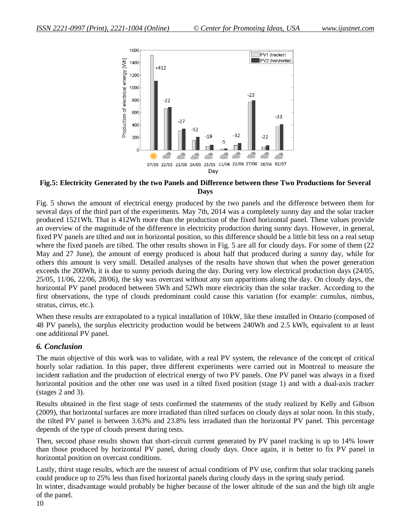

### **Fig.5: Electricity Generated by the two Panels and Difference between these Two Productions for Several Days**

Fig. 5 shows the amount of electrical energy produced by the two panels and the difference between them for several days of the third part of the experiments. May 7th, 2014 was a completely sunny day and the solar tracker produced 1521Wh. That is 412Wh more than the production of the fixed horizontal panel. These values provide an overview of the magnitude of the difference in electricity production during sunny days. However, in general, fixed PV panels are tilted and not in horizontal position, so this difference should be a little bit less on a real setup where the fixed panels are tilted. The other results shown in Fig. 5 are all for cloudy days. For some of them  $(22)$ May and 27 June), the amount of energy produced is about half that produced during a sunny day, while for others this amount is very small. Detailed analyses of the results have shown that when the power generation exceeds the 200Wh, it is due to sunny periods during the day. During very low electrical production days (24/05, 25/05, 11/06, 22/06, 28/06), the sky was overcast without any sun apparitions along the day. On cloudy days, the horizontal PV panel produced between 5Wh and 52Wh more electricity than the solar tracker. According to the first observations, the type of clouds predominant could cause this variation (for example: cumulus, nimbus, stratus, cirrus, etc.).

When these results are extrapolated to a typical installation of 10kW, like these installed in Ontario (composed of 48 PV panels), the surplus electricity production would be between 240Wh and 2.5 kWh, equivalent to at least one additional PV panel.

### *6. Conclusion*

The main objective of this work was to validate, with a real PV system, the relevance of the concept of critical hourly solar radiation. In this paper, three different experiments were carried out in Montreal to measure the incident radiation and the production of electrical energy of two PV panels. One PV panel was always in a fixed horizontal position and the other one was used in a tilted fixed position (stage 1) and with a dual-axis tracker (stages 2 and 3).

Results obtained in the first stage of tests confirmed the statements of the study realized by Kelly and Gibson (2009), that horizontal surfaces are more irradiated than tilted surfaces on cloudy days at solar noon. In this study, the tilted PV panel is between 3.63% and 23.8% less irradiated than the horizontal PV panel. This percentage depends of the type of clouds present during tests.

Then, second phase results shown that short-circuit current generated by PV panel tracking is up to 14% lower than those produced by horizontal PV panel, during cloudy days. Once again, it is better to fix PV panel in horizontal position on overcast conditions.

Lastly, thirst stage results, which are the nearest of actual conditions of PV use, confirm that solar tracking panels could produce up to 25% less than fixed horizontal panels during cloudy days in the spring study period. In winter, disadvantage would probably be higher because of the lower altitude of the sun and the high tilt angle of the panel.